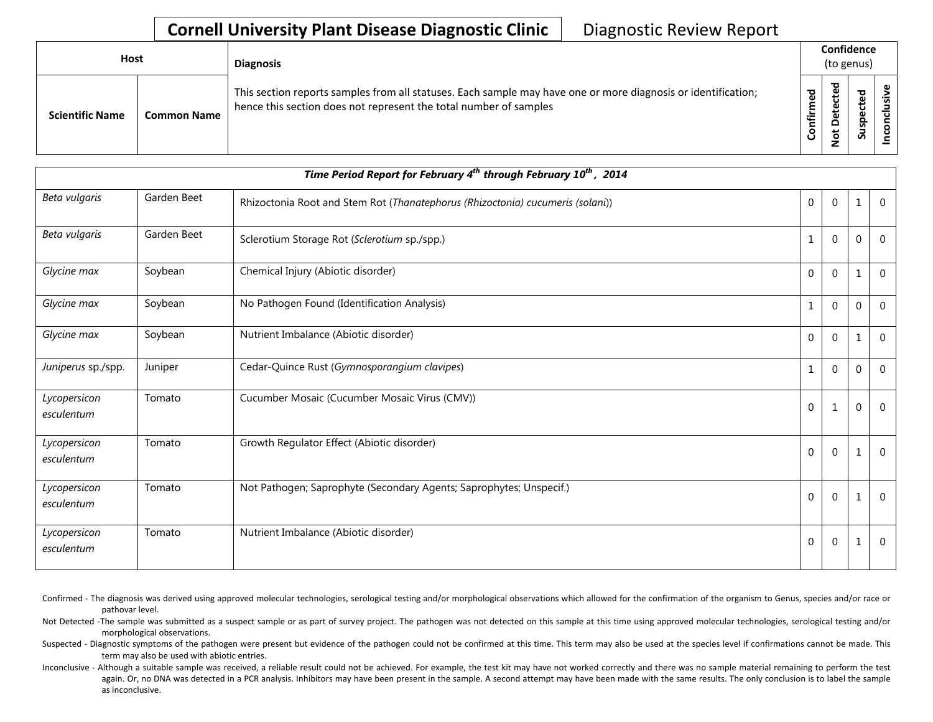## **Cornell University Plant Disease Diagnostic Clinic** | Diagnostic Review Report

| Host                   |                    | <b>Diagnosis</b>                                                                                                                                                                   | Confidence<br>(to genus) |                         |        |  |
|------------------------|--------------------|------------------------------------------------------------------------------------------------------------------------------------------------------------------------------------|--------------------------|-------------------------|--------|--|
| <b>Scientific Name</b> | <b>Common Name</b> | This section reports samples from all statuses. Each sample may have one or more diagnosis or identification;<br>hence this section does not represent the total number of samples | ਠ<br>ω<br>onfirm         | ъ<br>ق<br>≏<br><u>و</u> | ௨<br>S |  |

| Time Period Report for February 4 <sup>th</sup> through February 10 <sup>th</sup> , 2014 |             |                                                                                |                |                  |             |              |  |
|------------------------------------------------------------------------------------------|-------------|--------------------------------------------------------------------------------|----------------|------------------|-------------|--------------|--|
| Beta vulgaris                                                                            | Garden Beet | Rhizoctonia Root and Stem Rot (Thanatephorus (Rhizoctonia) cucumeris (solani)) | $\overline{0}$ | $\mathbf 0$      |             | $\Omega$     |  |
| Beta vulgaris                                                                            | Garden Beet | Sclerotium Storage Rot (Sclerotium sp./spp.)                                   | 1              | $\mathbf{0}$     | $\mathbf 0$ | $\mathbf 0$  |  |
| Glycine max                                                                              | Soybean     | Chemical Injury (Abiotic disorder)                                             | $\overline{0}$ | $\mathbf 0$      | 1           | $\mathbf 0$  |  |
| Glycine max                                                                              | Soybean     | No Pathogen Found (Identification Analysis)                                    | $\mathbf{1}$   | $\mathbf 0$      | $\mathbf 0$ | $\mathbf{0}$ |  |
| Glycine max                                                                              | Soybean     | Nutrient Imbalance (Abiotic disorder)                                          | $\overline{0}$ | $\mathbf{0}$     |             | $\mathbf{0}$ |  |
| Juniperus sp./spp.                                                                       | Juniper     | Cedar-Quince Rust (Gymnosporangium clavipes)                                   | 1              | $\mathbf 0$      | $\mathbf 0$ | $\mathbf{0}$ |  |
| Lycopersicon<br>esculentum                                                               | Tomato      | Cucumber Mosaic (Cucumber Mosaic Virus (CMV))                                  | 0              | 1                | $\mathbf 0$ | $\Omega$     |  |
| Lycopersicon<br>esculentum                                                               | Tomato      | Growth Regulator Effect (Abiotic disorder)                                     | 0              | $\mathbf{0}$     |             | $\Omega$     |  |
| Lycopersicon<br>esculentum                                                               | Tomato      | Not Pathogen; Saprophyte (Secondary Agents; Saprophytes; Unspecif.)            | $\overline{0}$ | $\mathbf{0}$     |             | $\mathbf 0$  |  |
| Lycopersicon<br>esculentum                                                               | Tomato      | Nutrient Imbalance (Abiotic disorder)                                          | $\overline{0}$ | $\boldsymbol{0}$ |             | $\mathbf 0$  |  |

Confirmed - The diagnosis was derived using approved molecular technologies, serological testing and/or morphological observations which allowed for the confirmation of the organism to Genus, species and/or race or pathovar level.

Not Detected -The sample was submitted as a suspect sample or as part of survey project. The pathogen was not detected on this sample at this time using approved molecular technologies, serological testing and/or morphological observations.

Suspected - Diagnostic symptoms of the pathogen were present but evidence of the pathogen could not be confirmed at this time. This term may also be used at the species level if confirmations cannot be made. This term may also be used with abiotic entries.

Inconclusive - Although a suitable sample was received, a reliable result could not be achieved. For example, the test kit may have not worked correctly and there was no sample material remaining to perform the test again. Or, no DNA was detected in a PCR analysis. Inhibitors may have been present in the sample. A second attempt may have been made with the same results. The only conclusion is to label the sample as inconclusive.